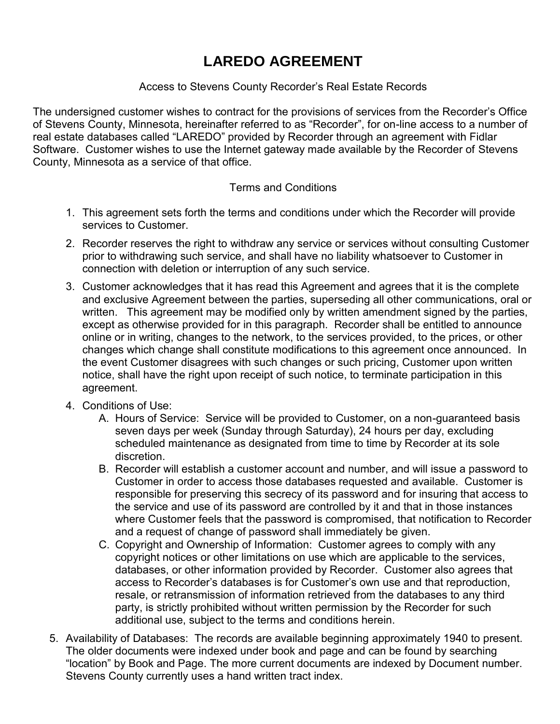## **LAREDO AGREEMENT**

#### Access to Stevens County Recorder's Real Estate Records

The undersigned customer wishes to contract for the provisions of services from the Recorder's Office of Stevens County, Minnesota, hereinafter referred to as "Recorder", for on-line access to a number of real estate databases called "LAREDO" provided by Recorder through an agreement with Fidlar Software. Customer wishes to use the Internet gateway made available by the Recorder of Stevens County, Minnesota as a service of that office.

#### Terms and Conditions

- 1. This agreement sets forth the terms and conditions under which the Recorder will provide services to Customer.
- 2. Recorder reserves the right to withdraw any service or services without consulting Customer prior to withdrawing such service, and shall have no liability whatsoever to Customer in connection with deletion or interruption of any such service.
- 3. Customer acknowledges that it has read this Agreement and agrees that it is the complete and exclusive Agreement between the parties, superseding all other communications, oral or written. This agreement may be modified only by written amendment signed by the parties, except as otherwise provided for in this paragraph. Recorder shall be entitled to announce online or in writing, changes to the network, to the services provided, to the prices, or other changes which change shall constitute modifications to this agreement once announced. In the event Customer disagrees with such changes or such pricing, Customer upon written notice, shall have the right upon receipt of such notice, to terminate participation in this agreement.
- 4. Conditions of Use:
	- A. Hours of Service: Service will be provided to Customer, on a non-guaranteed basis seven days per week (Sunday through Saturday), 24 hours per day, excluding scheduled maintenance as designated from time to time by Recorder at its sole discretion.
	- B. Recorder will establish a customer account and number, and will issue a password to Customer in order to access those databases requested and available. Customer is responsible for preserving this secrecy of its password and for insuring that access to the service and use of its password are controlled by it and that in those instances where Customer feels that the password is compromised, that notification to Recorder and a request of change of password shall immediately be given.
	- C. Copyright and Ownership of Information: Customer agrees to comply with any copyright notices or other limitations on use which are applicable to the services, databases, or other information provided by Recorder. Customer also agrees that access to Recorder's databases is for Customer's own use and that reproduction, resale, or retransmission of information retrieved from the databases to any third party, is strictly prohibited without written permission by the Recorder for such additional use, subject to the terms and conditions herein.
- 5. Availability of Databases: The records are available beginning approximately 1940 to present. The older documents were indexed under book and page and can be found by searching "location" by Book and Page. The more current documents are indexed by Document number. Stevens County currently uses a hand written tract index.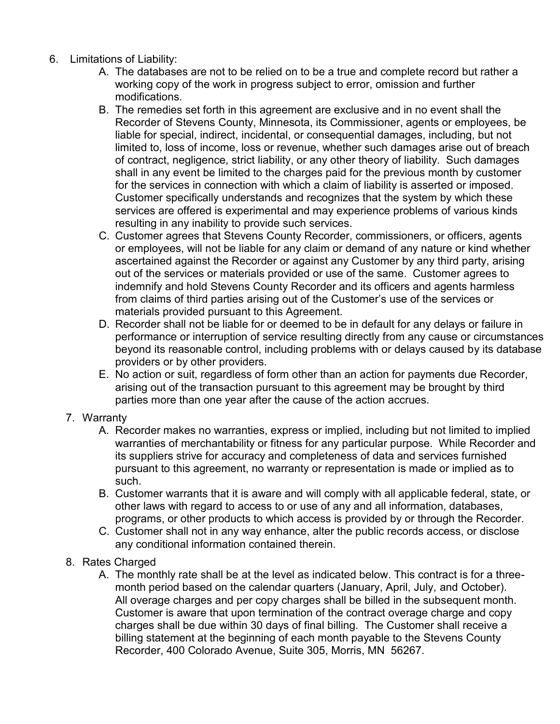- 6. Limitations of Liability:
	- A. The databases are not to be relied on to be a true and complete record but rather a working copy of the work in progress subject to error, omission and further modifications.
	- B. The remedies set forth in this agreement are exclusive and in no event shall the Recorder of Stevens County, Minnesota, its Commissioner, agents or employees, be liable for special, indirect, incidental, or consequential damages, including, but not limited to, loss of income, loss or revenue, whether such damages arise out of breach of contract, negligence, strict liability, or any other theory of liability. Such damages shall in any event be limited to the charges paid for the previous month by customer for the services in connection with which a claim of liability is asserted or imposed. Customer specifically understands and recognizes that the system by which these services are offered is experimental and may experience problems of various kinds resulting in any inability to provide such services.
	- C. Customer agrees that Stevens County Recorder, commissioners, or officers, agents or employees, will not be liable for any claim or demand of any nature or kind whether ascertained against the Recorder or against any Customer by any third party, arising out of the services or materials provided or use of the same. Customer agrees to indemnify and hold Stevens County Recorder and its officers and agents harmless from claims of third parties arising out of the Customer's use of the services or materials provided pursuant to this Agreement.
	- D. Recorder shall not be liable for or deemed to be in default for any delays or failure in performance or interruption of service resulting directly from any cause or circumstances beyond its reasonable control, including problems with or delays caused by its database providers or by other providers.
	- E. No action or suit, regardless of form other than an action for payments due Recorder, arising out of the transaction pursuant to this agreement may be brought by third parties more than one year after the cause of the action accrues.
	- 7. Warranty
		- A. Recorder makes no warranties, express or implied, including but not limited to implied warranties of merchantability or fitness for any particular purpose. While Recorder and its suppliers strive for accuracy and completeness of data and services furnished pursuant to this agreement, no warranty or representation is made or implied as to such.
		- B. Customer warrants that it is aware and will comply with all applicable federal, state, or other laws with regard to access to or use of any and all information, databases, programs, or other products to which access is provided by or through the Recorder.
		- C. Customer shall not in any way enhance, alter the public records access, or disclose any conditional information contained therein.
	- 8. Rates Charged
		- A. The monthly rate shall be at the level as indicated below. This contract is for a threemonth period based on the calendar quarters (January, April, July, and October). All overage charges and per copy charges shall be billed in the subsequent month. Customer is aware that upon termination of the contract overage charge and copy charges shall be due within 30 days of final billing. The Customer shall receive a billing statement at the beginning of each month payable to the Stevens County Recorder, 400 Colorado Avenue, Suite 305, Morris, MN 56267.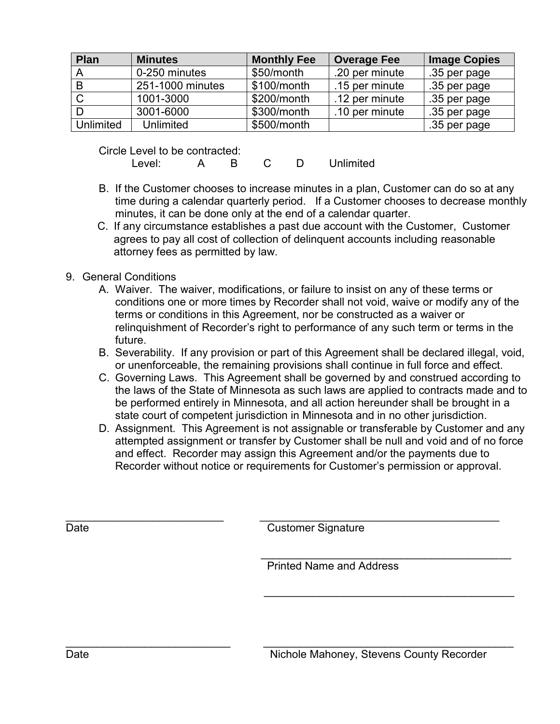| <b>Plan</b>      | <b>Minutes</b>   | <b>Monthly Fee</b> | <b>Overage Fee</b> | <b>Image Copies</b> |
|------------------|------------------|--------------------|--------------------|---------------------|
|                  | 0-250 minutes    | \$50/month         | .20 per minute     | .35 per page        |
| B                | 251-1000 minutes | \$100/month        | .15 per minute     | .35 per page        |
|                  | 1001-3000        | \$200/month        | .12 per minute     | .35 per page        |
|                  | 3001-6000        | \$300/month        | .10 per minute     | .35 per page        |
| <b>Unlimited</b> | <b>Unlimited</b> | \$500/month        |                    | .35 per page        |

Circle Level to be contracted:

Level: A B C D Unlimited

- B. If the Customer chooses to increase minutes in a plan, Customer can do so at any time during a calendar quarterly period. If a Customer chooses to decrease monthly minutes, it can be done only at the end of a calendar quarter.
- C. If any circumstance establishes a past due account with the Customer, Customer agrees to pay all cost of collection of delinquent accounts including reasonable attorney fees as permitted by law.
- 9. General Conditions
	- A. Waiver. The waiver, modifications, or failure to insist on any of these terms or conditions one or more times by Recorder shall not void, waive or modify any of the terms or conditions in this Agreement, nor be constructed as a waiver or relinquishment of Recorder's right to performance of any such term or terms in the future.
	- B. Severability. If any provision or part of this Agreement shall be declared illegal, void, or unenforceable, the remaining provisions shall continue in full force and effect.
	- C. Governing Laws. This Agreement shall be governed by and construed according to the laws of the State of Minnesota as such laws are applied to contracts made and to be performed entirely in Minnesota, and all action hereunder shall be brought in a state court of competent jurisdiction in Minnesota and in no other jurisdiction.
	- D. Assignment. This Agreement is not assignable or transferable by Customer and any attempted assignment or transfer by Customer shall be null and void and of no force and effect. Recorder may assign this Agreement and/or the payments due to Recorder without notice or requirements for Customer's permission or approval.

Date Customer Signature

\_\_\_\_\_\_\_\_\_\_\_\_\_\_\_\_\_\_\_\_\_\_\_\_\_\_\_ \_\_\_\_\_\_\_\_\_\_\_\_\_\_\_\_\_\_\_\_\_\_\_\_\_\_\_\_\_\_\_\_\_\_\_\_\_\_\_\_\_

 $\overline{\phantom{a}}$  , and the contribution of the contribution of the contribution of the contribution of the contribution of the contribution of the contribution of the contribution of the contribution of the contribution of the

 $\overline{\phantom{a}}$  , and the contract of the contract of the contract of the contract of the contract of the contract of the contract of the contract of the contract of the contract of the contract of the contract of the contrac Printed Name and Address

 $\overline{\phantom{a}}$  ,  $\overline{\phantom{a}}$  ,  $\overline{\phantom{a}}$  ,  $\overline{\phantom{a}}$  ,  $\overline{\phantom{a}}$  ,  $\overline{\phantom{a}}$  ,  $\overline{\phantom{a}}$  ,  $\overline{\phantom{a}}$  ,  $\overline{\phantom{a}}$  ,  $\overline{\phantom{a}}$  ,  $\overline{\phantom{a}}$  ,  $\overline{\phantom{a}}$  ,  $\overline{\phantom{a}}$  ,  $\overline{\phantom{a}}$  ,  $\overline{\phantom{a}}$  ,  $\overline{\phantom{a}}$